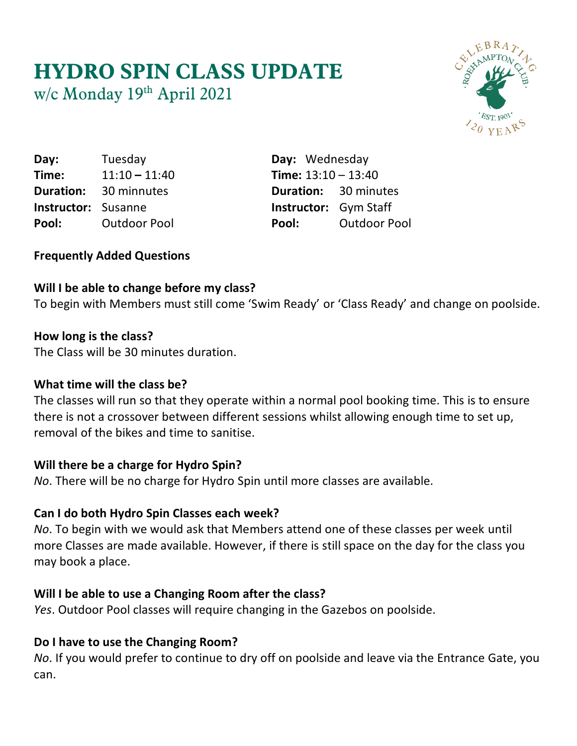# **HYDRO SPIN CLASS UPDATE** w/c Monday 19 th April 2021



**Day:** Tuesday **Day:** Wednesday **Time:** 11:10 **–** 11:40 **Time:** 13:10 – 13:40 **Duration:** 30 minnutes **Duration:** 30 minutes **Instructor:** Susanne **Instructor:** Gym Staff **Pool:** Outdoor Pool **Pool:** Outdoor Pool

## **Frequently Added Questions**

## **Will I be able to change before my class?**

To begin with Members must still come 'Swim Ready' or 'Class Ready' and change on poolside.

#### **How long is the class?**

The Class will be 30 minutes duration.

## **What time will the class be?**

The classes will run so that they operate within a normal pool booking time. This is to ensure there is not a crossover between different sessions whilst allowing enough time to set up, removal of the bikes and time to sanitise.

## **Will there be a charge for Hydro Spin?**

*No*. There will be no charge for Hydro Spin until more classes are available.

## **Can I do both Hydro Spin Classes each week?**

*No*. To begin with we would ask that Members attend one of these classes per week until more Classes are made available. However, if there is still space on the day for the class you may book a place.

## **Will I be able to use a Changing Room after the class?**

*Yes*. Outdoor Pool classes will require changing in the Gazebos on poolside.

## **Do I have to use the Changing Room?**

*No*. If you would prefer to continue to dry off on poolside and leave via the Entrance Gate, you can.